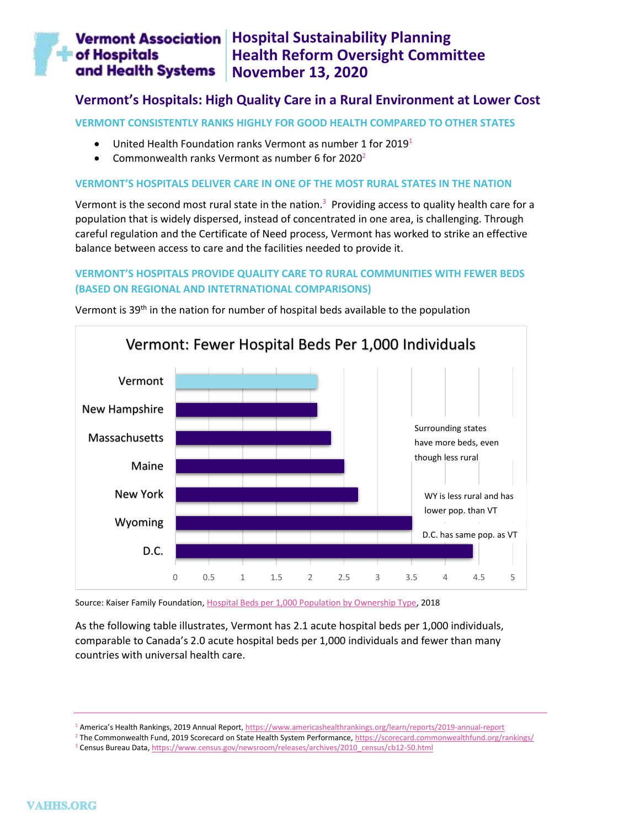#### **Vermont Association** | Hospital Sustainability Planning of Hospitals **Health Reform Oversight Committee** and Health Systems **November 13, 2020**

# **Vermont's Hospitals: High Quality Care in a Rural Environment at Lower Cost**

**VERMONT CONSISTENTLY RANKS HIGHLY FOR GOOD HEALTH COMPARED TO OTHER STATES**

- United Health Foundation ranks Vermont as number 1 for 2019<sup>1</sup>
- Commonwealth ranks Vermont as number 6 for  $2020<sup>2</sup>$

### **VERMONT'S HOSPITALS DELIVER CARE IN ONE OF THE MOST RURAL STATES IN THE NATION**

Vermont is the second most rural state in the nation.<sup>3</sup> Providing access to quality health care for a population that is widely dispersed, instead of concentrated in one area, is challenging. Through careful regulation and the Certificate of Need process, Vermont has worked to strike an effective balance between access to care and the facilities needed to provide it.

## **VERMONT'S HOSPITALS PROVIDE QUALITY CARE TO RURAL COMMUNITIES WITH FEWER BEDS (BASED ON REGIONAL AND INTETRNATIONAL COMPARISONS)**



Vermont is 39<sup>th</sup> in the nation for number of hospital beds available to the population

Source: Kaiser Family Foundation, [Hospital Beds per 1,000 Population by Ownership Type,](https://www.kff.org/other/state-indicator/beds-by-ownership/?activeTab=map¤tTimeframe=0&selectedDistributions=total&selectedRows=%7B%22wrapups%22:%7B%22united-states%22:%7B%7D%7D,%22states%22:%7B%22all%22:%7B%7D%7D%7D&sortModel=%7B%22colId%22:%22Location%22,%22sort%22:%22asc%22%7D) 2018

As the following table illustrates, Vermont has 2.1 acute hospital beds per 1,000 individuals, comparable to Canada's 2.0 acute hospital beds per 1,000 individuals and fewer than many countries with universal health care.

<sup>1</sup> America's Health Rankings, 2019 Annual Report, <https://www.americashealthrankings.org/learn/reports/2019-annual-report>

<sup>&</sup>lt;sup>2</sup> The Commonwealth Fund, 2019 Scorecard on State Health System Performance[, https://scorecard.commonwealthfund.org/rankings/](https://scorecard.commonwealthfund.org/rankings/)

<sup>&</sup>lt;sup>3</sup> Census Bureau Data, https://www.census.gov/newsroom/releases/archives/2010\_census/cb12-50.html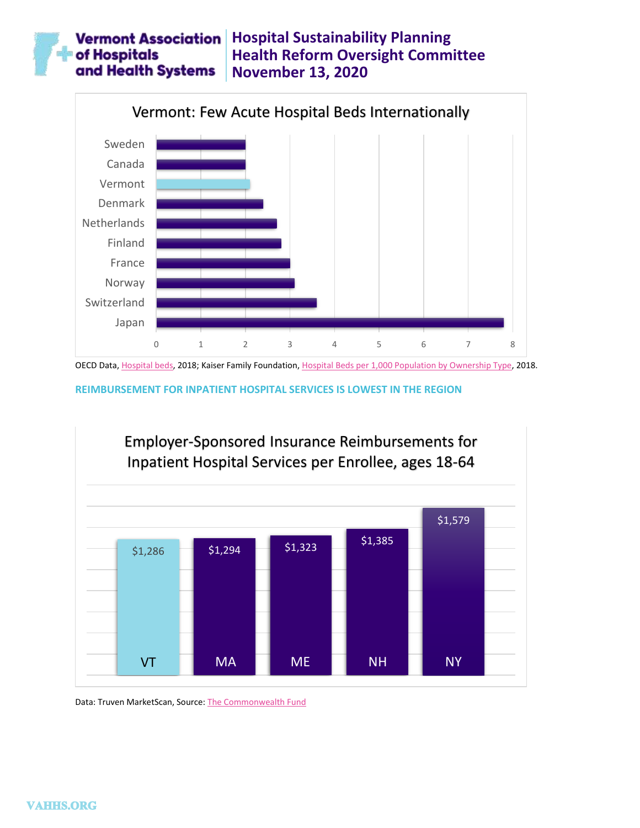#### **Vermont Association** Hospital Sustainability Planning **of Hospitals Health Reform Oversight Committee** and Health Systems **November 13, 2020**



OECD Data[, Hospital beds,](https://data.oecd.org/healtheqt/hospital-beds.htm#indicator-chart) 2018; Kaiser Family Foundation, [Hospital Beds per 1,000 Population by Ownership Type,](https://www.kff.org/other/state-indicator/beds-by-ownership/?activeTab=map¤tTimeframe=0&selectedDistributions=total&selectedRows=%7B%22wrapups%22:%7B%22united-states%22:%7B%7D%7D,%22states%22:%7B%22all%22:%7B%7D%7D%7D&sortModel=%7B%22colId%22:%22Location%22,%22sort%22:%22asc%22%7D) 2018.

**REIMBURSEMENT FOR INPATIENT HOSPITAL SERVICES IS LOWEST IN THE REGION**



Data: Truven MarketScan, Source[: The Commonwealth Fund](https://datacenter.commonwealthfund.org/topics/inpatient-employer-sponsored-insurance-spending-enrollee)